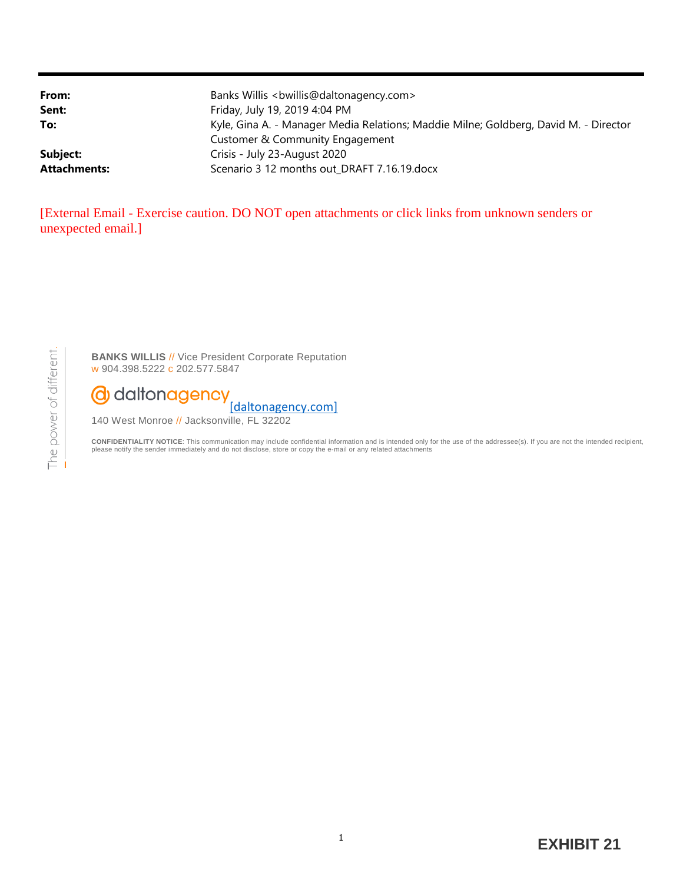| From:               | Banks Willis<br>bwillis@daltonagency.com>                                            |
|---------------------|--------------------------------------------------------------------------------------|
| Sent:               | Friday, July 19, 2019 4:04 PM                                                        |
| To:                 | Kyle, Gina A. - Manager Media Relations; Maddie Milne; Goldberg, David M. - Director |
|                     | Customer & Community Engagement                                                      |
| Subject:            | Crisis - July 23-August 2020                                                         |
| <b>Attachments:</b> | Scenario 3 12 months out DRAFT 7.16.19.docx                                          |

[External Email - Exercise caution. DO NOT open attachments or click links from unknown senders or unexpected email.]

**BANKS WILLIS** // Vice President Corporate Reputation w 904.398.5222 c 202.577.5847



140 West Monroe // Jacksonville, FL 32202

CONFIDENTIALITY NOTICE: This communication may include confidential information and is intended only for the use of the addressee(s). If you are not the intended recipient,<br>please notify the sender immediately and do not d